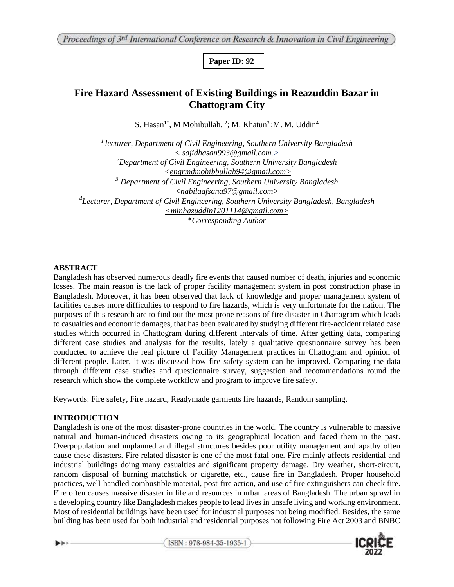**Paper ID: 92**

# **Fire Hazard Assessment of Existing Buildings in Reazuddin Bazar in Chattogram City**

S. Hasan<sup>1\*</sup>, M Mohibullah.<sup>2</sup>; M. Khatun<sup>3</sup>; M. M. Uddin<sup>4</sup>

*<sup>1</sup>lecturer, Department of Civil Engineering, Southern University Bangladesh < sajidhasan993@gmail.com.> <sup>2</sup>Department of Civil Engineering, Southern University Bangladesh [<engrmdmohibbullah94@gmail.com>](mailto:engrmdmohibbullah94@gmail.com) <sup>3</sup> Department of Civil Engineering, Southern University Bangladesh <nabilaafsana97@gmail.com> <sup>4</sup>Lecturer, Department of Civil Engineering, Southern University Bangladesh, Bangladesh [<minhazuddin1201114@gmail.com>](mailto:minhazuddin1201114@gmail.com)* \**Corresponding Author*

### **ABSTRACT**

Bangladesh has observed numerous deadly fire events that caused number of death, injuries and economic losses. The main reason is the lack of proper facility management system in post construction phase in Bangladesh. Moreover, it has been observed that lack of knowledge and proper management system of facilities causes more difficulties to respond to fire hazards, which is very unfortunate for the nation. The purposes of this research are to find out the most prone reasons of fire disaster in Chattogram which leads to casualties and economic damages, that has been evaluated by studying different fire-accident related case studies which occurred in Chattogram during different intervals of time. After getting data, comparing different case studies and analysis for the results, lately a qualitative questionnaire survey has been conducted to achieve the real picture of Facility Management practices in Chattogram and opinion of different people. Later, it was discussed how fire safety system can be improved. Comparing the data through different case studies and questionnaire survey, suggestion and recommendations round the research which show the complete workflow and program to improve fire safety.

Keywords: Fire safety, Fire hazard, Readymade garments fire hazards, Random sampling.

#### **INTRODUCTION**

 $\blacktriangleright$ 

Bangladesh is one of the most disaster-prone countries in the world. The country is vulnerable to massive natural and human-induced disasters owing to its geographical location and faced them in the past. Overpopulation and unplanned and illegal structures besides poor utility management and apathy often cause these disasters. Fire related disaster is one of the most fatal one. Fire mainly affects residential and industrial buildings doing many casualties and significant property damage. Dry weather, short-circuit, random disposal of burning matchstick or cigarette, etc., cause fire in Bangladesh. Proper household practices, well-handled combustible material, post-fire action, and use of fire extinguishers can check fire. Fire often causes massive disaster in life and resources in urban areas of Bangladesh. The urban sprawl in a developing country like Bangladesh makes people to lead lives in unsafe living and working environment. Most of residential buildings have been used for industrial purposes not being modified. Besides, the same building has been used for both industrial and residential purposes not following Fire Act 2003 and BNBC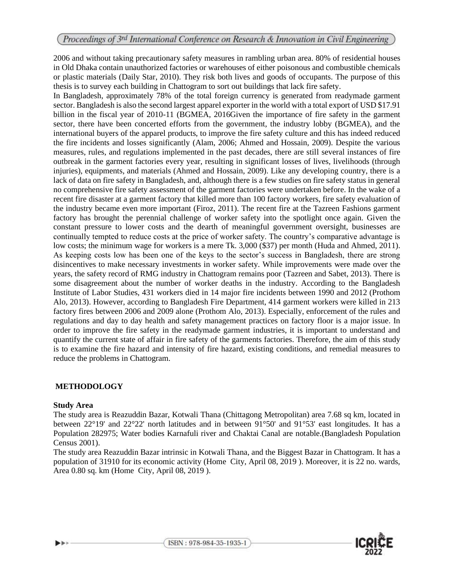2006 and without taking precautionary safety measures in rambling urban area. 80% of residential houses in Old Dhaka contain unauthorized factories or warehouses of either poisonous and combustible chemicals or plastic materials (Daily Star, 2010). They risk both lives and goods of occupants. The purpose of this thesis is to survey each building in Chattogram to sort out buildings that lack fire safety.

In Bangladesh, approximately 78% of the total foreign currency is generated from readymade garment sector. Bangladesh is also the second largest apparel exporter in the world with a total export of USD \$17.91 billion in the fiscal year of 2010-11 (BGMEA, 2016Given the importance of fire safety in the garment sector, there have been concerted efforts from the government, the industry lobby (BGMEA), and the international buyers of the apparel products, to improve the fire safety culture and this has indeed reduced the fire incidents and losses significantly (Alam, 2006; Ahmed and Hossain, 2009). Despite the various measures, rules, and regulations implemented in the past decades, there are still several instances of fire outbreak in the garment factories every year, resulting in significant losses of lives, livelihoods (through injuries), equipments, and materials (Ahmed and Hossain, 2009). Like any developing country, there is a lack of data on fire safety in Bangladesh, and, although there is a few studies on fire safety status in general no comprehensive fire safety assessment of the garment factories were undertaken before. In the wake of a recent fire disaster at a garment factory that killed more than 100 factory workers, fire safety evaluation of the industry became even more important (Firoz, 2011). The recent fire at the Tazreen Fashions garment factory has brought the perennial challenge of worker safety into the spotlight once again. Given the constant pressure to lower costs and the dearth of meaningful government oversight, businesses are continually tempted to reduce costs at the price of worker safety. The country's comparative advantage is low costs; the minimum wage for workers is a mere Tk. 3,000 (\$37) per month (Huda and Ahmed, 2011). As keeping costs low has been one of the keys to the sector's success in Bangladesh, there are strong disincentives to make necessary investments in worker safety. While improvements were made over the years, the safety record of RMG industry in Chattogram remains poor (Tazreen and Sabet, 2013). There is some disagreement about the number of worker deaths in the industry. According to the Bangladesh Institute of Labor Studies, 431 workers died in 14 major fire incidents between 1990 and 2012 (Prothom Alo, 2013). However, according to Bangladesh Fire Department, 414 garment workers were killed in 213 factory fires between 2006 and 2009 alone (Prothom Alo, 2013). Especially, enforcement of the rules and regulations and day to day health and safety management practices on factory floor is a major issue. In order to improve the fire safety in the readymade garment industries, it is important to understand and quantify the current state of affair in fire safety of the garments factories. Therefore, the aim of this study is to examine the fire hazard and intensity of fire hazard, existing conditions, and remedial measures to reduce the problems in Chattogram.

#### **METHODOLOGY**

#### **Study Area**

The study area is Reazuddin Bazar, Kotwali Thana (Chittagong Metropolitan) area 7.68 sq km, located in between 22°19' and 22°22' north latitudes and in between 91°50' and 91°53' east longitudes. It has a Population 282975; Water bodies Karnafuli river and Chaktai Canal are notable.(Bangladesh Population Census 2001).

The study area Reazuddin Bazar intrinsic in Kotwali Thana, and the Biggest Bazar in Chattogram. It has a population of 31910 for its economic activity (Home City, April 08, 2019 ). Moreover, it is 22 no. wards, Area 0.80 sq. km (Home City, April 08, 2019 ).

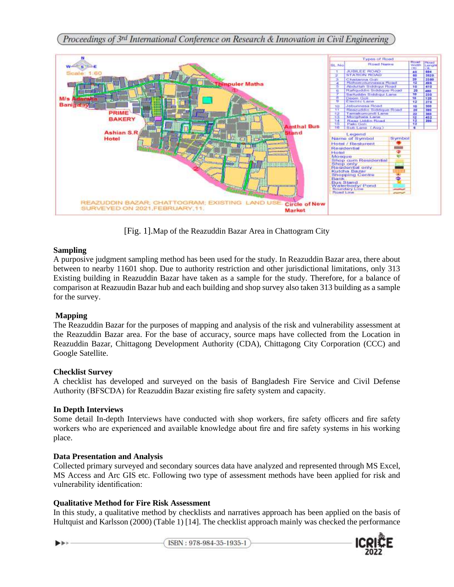

[Fig. 1].Map of the Reazuddin Bazar Area in Chattogram City

### **Sampling**

A purposive judgment sampling method has been used for the study. In Reazuddin Bazar area, there about between to nearby 11601 shop. Due to authority restriction and other jurisdictional limitations, only 313 Existing building in Reazuddin Bazar have taken as a sample for the study. Therefore, for a balance of comparison at Reazuudin Bazar hub and each building and shop survey also taken 313 building as a sample for the survey.

#### **Mapping**

The Reazuddin Bazar for the purposes of mapping and analysis of the risk and vulnerability assessment at the Reazuddin Bazar area. For the base of accuracy, source maps have collected from the Location in Reazuddin Bazar, Chittagong Development Authority (CDA), Chittagong City Corporation (CCC) and Google Satellite.

#### **Checklist Survey**

A checklist has developed and surveyed on the basis of Bangladesh Fire Service and Civil Defense Authority (BFSCDA) for Reazuddin Bazar existing fire safety system and capacity.

#### **In Depth Interviews**

Some detail In-depth Interviews have conducted with shop workers, fire safety officers and fire safety workers who are experienced and available knowledge about fire and fire safety systems in his working place.

# **Data Presentation and Analysis**

Collected primary surveyed and secondary sources data have analyzed and represented through MS Excel, MS Access and Arc GIS etc. Following two type of assessment methods have been applied for risk and vulnerability identification:

# **Qualitative Method for Fire Risk Assessment**

In this study, a qualitative method by checklists and narratives approach has been applied on the basis of Hultquist and Karlsson (2000) (Table 1) [14]. The checklist approach mainly was checked the performance

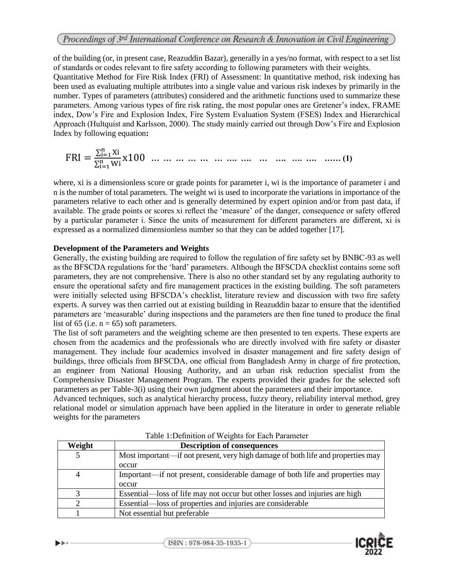of the building (or, in present case, Reazuddin Bazar), generally in a yes/no format, with respect to a set list of standards or codes relevant to fire safety according to following parameters with their weights. Quantitative Method for Fire Risk Index (FRI) of Assessment: In quantitative method, risk indexing has been used as evaluating multiple attributes into a single value and various risk indexes by primarily in the number. Types of parameters (attributes) considered and the arithmetic functions used to summarize these parameters. Among various types of fire risk rating, the most popular ones are Gretener's index, FRAME index, Dow's Fire and Explosion Index, Fire System Evaluation System (FSES) Index and Hierarchical Approach (Hultquist and Karlsson, 2000). The study mainly carried out through Dow's Fire and Explosion Index by following equation**:** 

FRI = ∑ Xi <sup>n</sup> i=1 ∑ Wi <sup>n</sup> i=1 x100 **… … … … … … …. …. … …. …. …. …… (1)** 

where, xi is a dimensionless score or grade points for parameter i, wi is the importance of parameter i and n is the number of total parameters. The weight wi is used to incorporate the variations in importance of the parameters relative to each other and is generally determined by expert opinion and/or from past data, if available. The grade points or scores xi reflect the 'measure' of the danger, consequence or safety offered by a particular parameter i. Since the units of measurement for different parameters are different, xi is expressed as a normalized dimensionless number so that they can be added together [17].

### **Development of the Parameters and Weights**

Generally, the existing building are required to follow the regulation of fire safety set by BNBC-93 as well as the BFSCDA regulations for the 'hard' parameters. Although the BFSCDA checklist contains some soft parameters, they are not comprehensive. There is also no other standard set by any regulating authority to ensure the operational safety and fire management practices in the existing building. The soft parameters were initially selected using BFSCDA's checklist, literature review and discussion with two fire safety experts. A survey was then carried out at existing building in Reazuddin bazar to ensure that the identified parameters are 'measurable' during inspections and the parameters are then fine tuned to produce the final list of 65 (i.e.  $n = 65$ ) soft parameters.

The list of soft parameters and the weighting scheme are then presented to ten experts. These experts are chosen from the academics and the professionals who are directly involved with fire safety or disaster management. They include four academics involved in disaster management and fire safety design of buildings, three officials from BFSCDA, one official from Bangladesh Army in charge of fire protection, an engineer from National Housing Authority, and an urban risk reduction specialist from the Comprehensive Disaster Management Program. The experts provided their grades for the selected soft parameters as per Table-3(i) using their own judgment about the parameters and their importance.

Advanced techniques, such as analytical hierarchy process, fuzzy theory, reliability interval method, grey relational model or simulation approach have been applied in the literature in order to generate reliable weights for the parameters

| Weight         | <b>Description of consequences</b>                                              |
|----------------|---------------------------------------------------------------------------------|
| 5              | Most important—if not present, very high damage of both life and properties may |
|                | occur                                                                           |
| $\overline{4}$ | Important—if not present, considerable damage of both life and properties may   |
|                | occur                                                                           |
|                | Essential—loss of life may not occur but other losses and injuries are high     |
|                | Essential—loss of properties and injuries are considerable                      |
|                | Not essential but preferable                                                    |

Table 1:Definition of Weights for Each Parameter



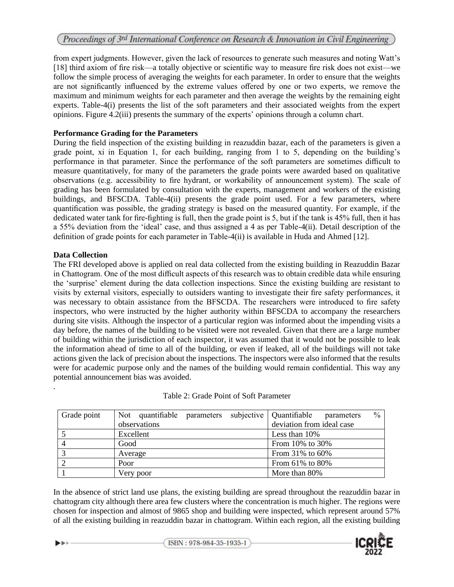from expert judgments. However, given the lack of resources to generate such measures and noting Watt's [18] third axiom of fire risk—a totally objective or scientific way to measure fire risk does not exist—we follow the simple process of averaging the weights for each parameter. In order to ensure that the weights are not significantly influenced by the extreme values offered by one or two experts, we remove the maximum and minimum weights for each parameter and then average the weights by the remaining eight experts. Table-4(i) presents the list of the soft parameters and their associated weights from the expert opinions. Figure 4.2(iii) presents the summary of the experts' opinions through a column chart.

### **Performance Grading for the Parameters**

During the field inspection of the existing building in reazuddin bazar, each of the parameters is given a grade point, xi in Equation 1, for each building, ranging from 1 to 5, depending on the building's performance in that parameter. Since the performance of the soft parameters are sometimes difficult to measure quantitatively, for many of the parameters the grade points were awarded based on qualitative observations (e.g. accessibility to fire hydrant, or workability of announcement system). The scale of grading has been formulated by consultation with the experts, management and workers of the existing buildings, and BFSCDA. Table-4(ii) presents the grade point used. For a few parameters, where quantification was possible, the grading strategy is based on the measured quantity. For example, if the dedicated water tank for fire-fighting is full, then the grade point is 5, but if the tank is 45% full, then it has a 55% deviation from the 'ideal' case, and thus assigned a 4 as per Table-4(ii). Detail description of the definition of grade points for each parameter in Table-4(ii) is available in Huda and Ahmed [12].

# **Data Collection**

The FRI developed above is applied on real data collected from the existing building in Reazuddin Bazar in Chattogram. One of the most difficult aspects of this research was to obtain credible data while ensuring the 'surprise' element during the data collection inspections. Since the existing building are resistant to visits by external visitors, especially to outsiders wanting to investigate their fire safety performances, it was necessary to obtain assistance from the BFSCDA. The researchers were introduced to fire safety inspectors, who were instructed by the higher authority within BFSCDA to accompany the researchers during site visits. Although the inspector of a particular region was informed about the impending visits a day before, the names of the building to be visited were not revealed. Given that there are a large number of building within the jurisdiction of each inspector, it was assumed that it would not be possible to leak the information ahead of time to all of the building, or even if leaked, all of the buildings will not take actions given the lack of precision about the inspections. The inspectors were also informed that the results were for academic purpose only and the names of the building would remain confidential. This way any potential announcement bias was avoided.

| Grade point | Not quantifiable parameters subjective Quantifiable | $\frac{0}{0}$<br>parameters |
|-------------|-----------------------------------------------------|-----------------------------|
|             | observations                                        | deviation from ideal case   |
|             | Excellent                                           | Less than $10\%$            |
|             | Good                                                | From $10\%$ to $30\%$       |
|             | Average                                             | From $31\%$ to $60\%$       |
|             | Poor                                                | From $61\%$ to $80\%$       |
|             | Very poor                                           | More than 80%               |

# Table 2: Grade Point of Soft Parameter

In the absence of strict land use plans, the existing building are spread throughout the reazuddin bazar in chattogram city although there area few clusters where the concentration is much higher. The regions were chosen for inspection and almost of 9865 shop and building were inspected, which represent around 57% of all the existing building in reazuddin bazar in chattogram. Within each region, all the existing building



ISBN: 978-984-35-1935-1

.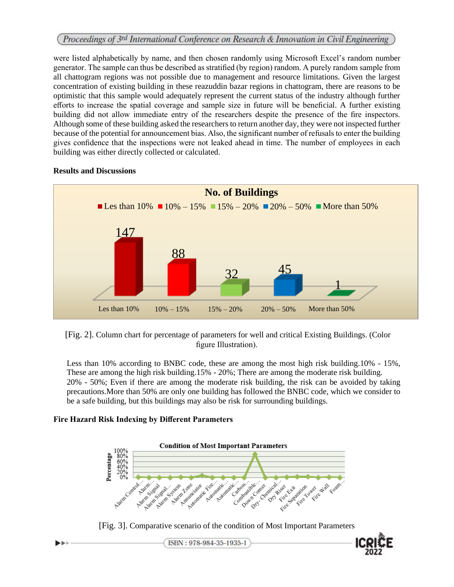were listed alphabetically by name, and then chosen randomly using Microsoft Excel's random number generator. The sample can thus be described as stratified (by region) random. A purely random sample from all chattogram regions was not possible due to management and resource limitations. Given the largest concentration of existing building in these reazuddin bazar regions in chattogram, there are reasons to be optimistic that this sample would adequately represent the current status of the industry although further efforts to increase the spatial coverage and sample size in future will be beneficial. A further existing building did not allow immediate entry of the researchers despite the presence of the fire inspectors. Although some of these building asked the researchers to return another day, they were not inspected further because of the potential for announcement bias. Also, the significant number of refusals to enter the building gives confidence that the inspections were not leaked ahead in time. The number of employees in each building was either directly collected or calculated.



#### **Results and Discussions**

[Fig. 2]. Column chart for percentage of parameters for well and critical Existing Buildings. (Color figure Illustration).

Less than 10% according to BNBC code, these are among the most high risk building.10% - 15%, These are among the high risk building.15% - 20%; There are among the moderate risk building. 20% - 50%; Even if there are among the moderate risk building, the risk can be avoided by taking precautions.More than 50% are only one building has followed the BNBC code, which we consider to be a safe building, but this buildings may also be risk for surrounding buildings.

#### **Fire Hazard Risk Indexing by Different Parameters**



[Fig. 3]. Comparative scenario of the condition of Most Important Parameters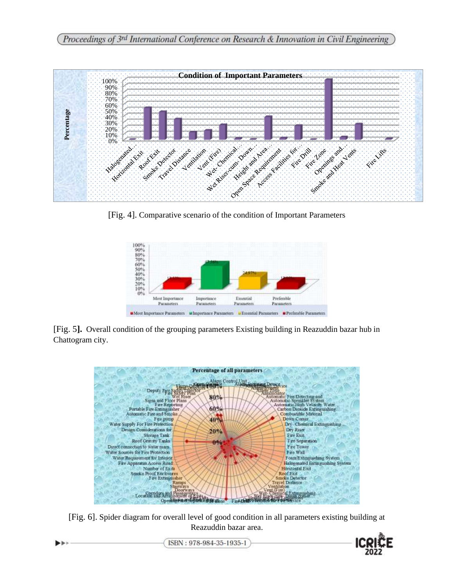

[Fig. 4]. Comparative scenario of the condition of Important Parameters



[Fig. 5**].** Overall condition of the grouping parameters Existing building in Reazuddin bazar hub in Chattogram city.



[Fig. 6]. Spider diagram for overall level of good condition in all parameters existing building at Reazuddin bazar area.